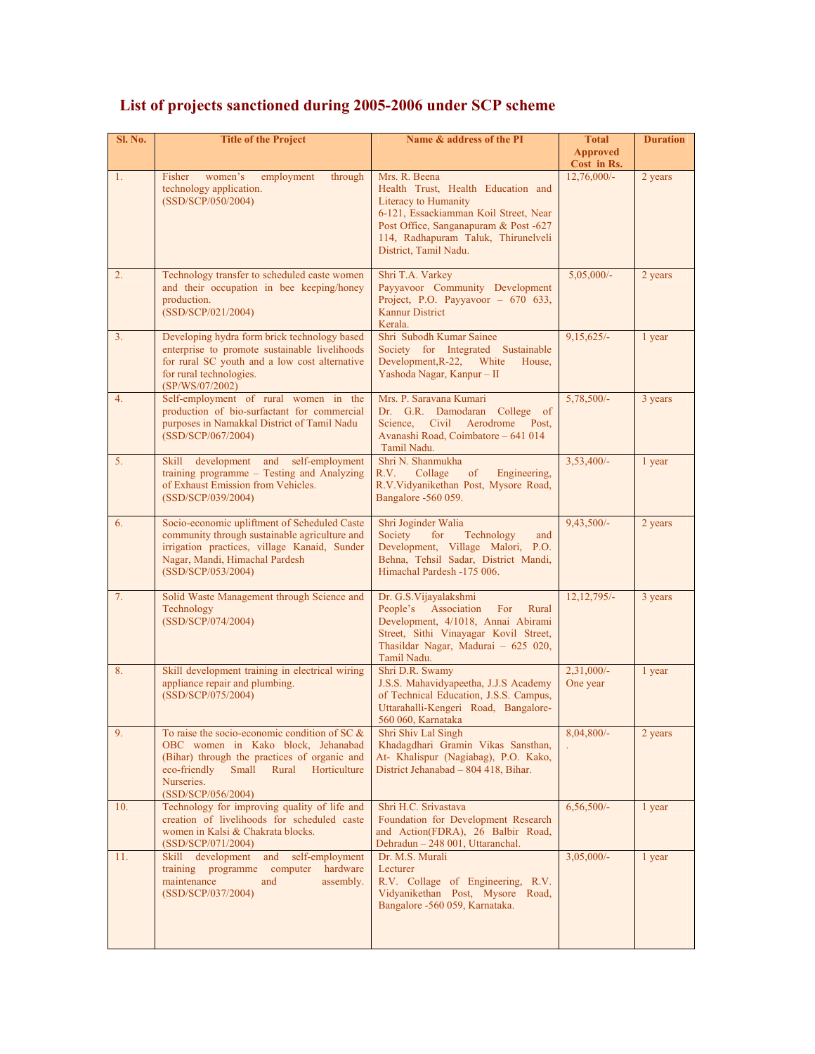| <b>Sl. No.</b> | <b>Title of the Project</b>                                                                                                                                                                                                  | Name & address of the PI                                                                                                                                                                                                      | <b>Total</b><br><b>Approved</b><br>Cost in Rs. | <b>Duration</b> |
|----------------|------------------------------------------------------------------------------------------------------------------------------------------------------------------------------------------------------------------------------|-------------------------------------------------------------------------------------------------------------------------------------------------------------------------------------------------------------------------------|------------------------------------------------|-----------------|
| 1.             | Fisher<br>women's<br>employment<br>through<br>technology application.<br>(SSD/SCP/050/2004)                                                                                                                                  | Mrs. R. Beena<br>Health Trust, Health Education and<br>Literacy to Humanity<br>6-121, Essackiamman Koil Street, Near<br>Post Office, Sanganapuram & Post -627<br>114, Radhapuram Taluk, Thirunelveli<br>District, Tamil Nadu. | $12,76,000/-$                                  | 2 years         |
| 2.             | Technology transfer to scheduled caste women<br>and their occupation in bee keeping/honey<br>production.<br>(SSD/SCP/021/2004)                                                                                               | Shri T.A. Varkey<br>Payyavoor Community Development<br>Project, P.O. Payyavoor $-670633$ ,<br><b>Kannur District</b><br>Kerala.                                                                                               | $5,05,000/-$                                   | 2 years         |
| 3.             | Developing hydra form brick technology based<br>enterprise to promote sustainable livelihoods<br>for rural SC youth and a low cost alternative<br>for rural technologies.<br>(SP/WS/07/2002)                                 | Shri Subodh Kumar Sainee<br>Society for Integrated Sustainable<br>Development, R-22, White<br>House,<br>Yashoda Nagar, Kanpur - II                                                                                            | $9,15,625/-$                                   | 1 year          |
| 4.             | Self-employment of rural women in the<br>production of bio-surfactant for commercial<br>purposes in Namakkal District of Tamil Nadu<br>(SSD/SCP/067/2004)                                                                    | Mrs. P. Saravana Kumari<br>Dr. G.R. Damodaran College of<br>Science, Civil<br>Aerodrome Post,<br>Avanashi Road, Coimbatore - 641 014<br>Tamil Nadu.                                                                           | 5,78,500/-                                     | 3 years         |
| 5 <sub>1</sub> | Skill development and self-employment<br>training programme - Testing and Analyzing<br>of Exhaust Emission from Vehicles.<br>(SSD/SCP/039/2004)                                                                              | Shri N. Shanmukha<br>R.V.<br>Collage<br>of<br>Engineering,<br>R.V.Vidyanikethan Post, Mysore Road,<br>Bangalore -560 059.                                                                                                     | $3,53,400/-$                                   | 1 year          |
| 6.             | Socio-economic upliftment of Scheduled Caste<br>community through sustainable agriculture and<br>irrigation practices, village Kanaid, Sunder<br>Nagar, Mandi, Himachal Pardesh<br>(SSD/SCP/053/2004)                        | Shri Joginder Walia<br>Technology<br>Society<br>for<br>and<br>Development, Village Malori, P.O.<br>Behna, Tehsil Sadar, District Mandi,<br>Himachal Pardesh -175 006.                                                         | $9,43,500/-$                                   | 2 years         |
| 7.             | Solid Waste Management through Science and<br>Technology<br>(SSD/SCP/074/2004)                                                                                                                                               | Dr. G.S. Vijayalakshmi<br>People's Association<br>For<br>Rural<br>Development, 4/1018, Annai Abirami<br>Street, Sithi Vinayagar Kovil Street,<br>Thasildar Nagar, Madurai - 625 020,<br>Tamil Nadu.                           | $12, 12, 795/-$                                | 3 years         |
| 8.             | Skill development training in electrical wiring<br>appliance repair and plumbing.<br>(SSD/SCP/075/2004)                                                                                                                      | Shri D.R. Swamy<br>J.S.S. Mahavidyapeetha, J.J.S Academy<br>of Technical Education, J.S.S. Campus,<br>Uttarahalli-Kengeri Road, Bangalore-<br>560 060, Karnataka                                                              | $2,31,000/-$<br>One year                       | 1 year          |
| 9.             | To raise the socio-economic condition of SC $\&$<br>OBC women in Kako block, Jehanabad<br>(Bihar) through the practices of organic and<br>eco-friendly<br>Small<br>Rural<br>Horticulture<br>Nurseries.<br>(SSD/SCP/056/2004) | Shri Shiv Lal Singh<br>Khadagdhari Gramin Vikas Sansthan,<br>At- Khalispur (Nagiabag), P.O. Kako,<br>District Jehanabad - 804 418, Bihar.                                                                                     | $8,04,800/$ -                                  | 2 years         |
| 10.            | Technology for improving quality of life and<br>creation of livelihoods for scheduled caste<br>women in Kalsi & Chakrata blocks.<br>(SSD/SCP/071/2004)                                                                       | Shri H.C. Srivastava<br>Foundation for Development Research<br>and Action(FDRA), 26 Balbir Road,<br>Dehradun - 248 001, Uttaranchal.                                                                                          | $6,56,500/-$                                   | 1 year          |
| 11.            | self-employment<br>Skill development<br>and<br>hardware<br>training programme computer<br>maintenance<br>and<br>assembly.<br>(SSD/SCP/037/2004)                                                                              | Dr. M.S. Murali<br>Lecturer<br>R.V. Collage of Engineering, R.V.<br>Vidyanikethan Post, Mysore Road,<br>Bangalore -560 059, Karnataka.                                                                                        | $3,05,000/-$                                   | 1 year          |

## **List of projects sanctioned during 2005-2006 under SCP scheme**